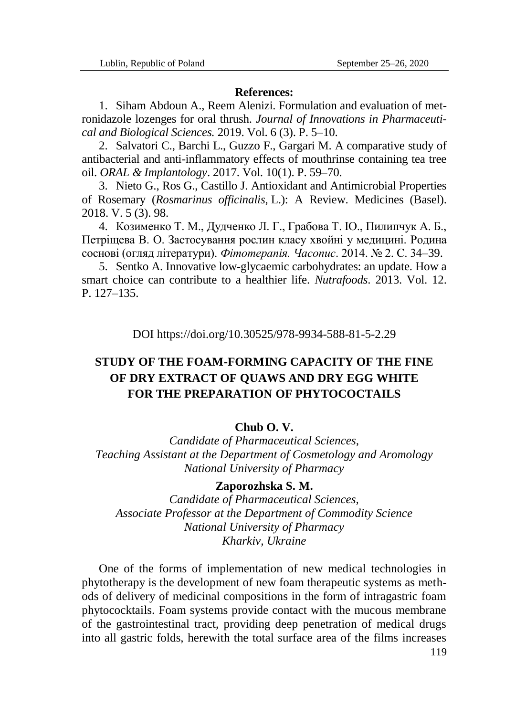### **References:**

1. Siham Abdoun A., Reem Alenizi. Formulation and evaluation of metronidazole lozenges for oral thrush. *Journal of Innovations in Pharmaceutical and Biological Sciences.* 2019. Vol. 6 (3). P. 5–10.

2. Salvatori C., Barchi L., Guzzo F., Gargari M. A comparative study of antibacterial and anti-inflammatory effects of mouthrinse containing tea tree oil. *ORAL & Implantology*. 2017. Vol. 10(1). P. 59–70.

3. Nieto G., Ros G., Castillo J. Antioxidant and Antimicrobial Properties of Rosemary (*Rosmarinus officinalis,* L.): A Review. Medicines (Basel). 2018. V. 5 (3). 98.

4. Козименко Т. М., Дудченко Л. Г., Грабова Т. Ю., Пилипчук А. Б., Петріщева В. О. Застосування рослин класу хвойні у медицині. Родина соснові (огляд літератури). *Фітотерапія. Часопис*. 2014. № 2. C. 34–39.

5. Sentko A. Innovative low-glycaemic carbohydrates: an update. How a smart choice can contribute to a healthier life. *Nutrafoods*. 2013. Vol. 12. P. 127–135.

DOI https://doi.org/10.30525/978-9934-588-81-5-2.29

# **STUDY OF THE FOAM-FORMING CAPACITY OF THE FINE OF DRY EXTRACT OF QUAWS AND DRY EGG WHITE FOR THE PREPARATION OF PHYTOCOCTAILS**

### **Chub O. V.**

*Candidate of Pharmaceutical Sciences, Teaching Assistant at the Department of Cosmetology and Aromology National University of Pharmacy*

## **Zaporozhska S. M.**

*Candidate of Pharmaceutical Sciences, Associate Professor at the Department of Commodity Science National University of Pharmacy Kharkiv, Ukraine*

One of the forms of implementation of new medical technologies in phytotherapy is the development of new foam therapeutic systems as methods of delivery of medicinal compositions in the form of intragastric foam phytococktails. Foam systems provide contact with the mucous membrane of the gastrointestinal tract, providing deep penetration of medical drugs into all gastric folds, herewith the total surface area of the films increases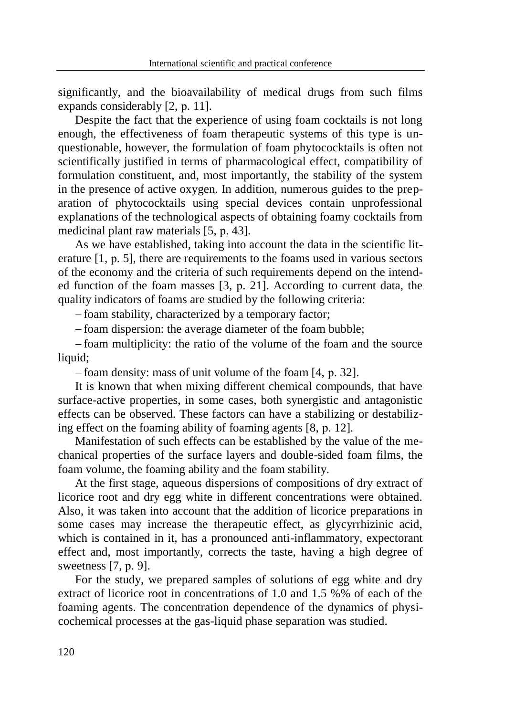significantly, and the bioavailability of medical drugs from such films expands considerably [2, р. 11].

Despite the fact that the experience of using foam cocktails is not long enough, the effectiveness of foam therapeutic systems of this type is unquestionable, however, the formulation of foam phytococktails is often not scientifically justified in terms of pharmacological effect, compatibility of formulation constituent, and, most importantly, the stability of the system in the presence of active oxygen. In addition, numerous guides to the preparation of phytococktails using special devices contain unprofessional explanations of the technological aspects of obtaining foamy cocktails from medicinal plant raw materials [5, p. 43].

As we have established, taking into account the data in the scientific literature [1, р. 5], there are requirements to the foams used in various sectors of the economy and the criteria of such requirements depend on the intended function of the foam masses [3, p. 21]. According to current data, the quality indicators of foams are studied by the following criteria:

foam stability, characterized by a temporary factor;

- foam dispersion: the average diameter of the foam bubble;

 foam multiplicity: the ratio of the volume of the foam and the source liquid;

foam density: mass of unit volume of the foam [4, p. 32].

It is known that when mixing different chemical compounds, that have surface-active properties, in some cases, both synergistic and antagonistic effects can be observed. These factors can have a stabilizing or destabilizing effect on the foaming ability of foaming agents [8, р. 12].

Manifestation of such effects can be established by the value of the mechanical properties of the surface layers and double-sided foam films, the foam volume, the foaming ability and the foam stability.

At the first stage, aqueous dispersions of compositions of dry extract of licorice root and dry egg white in different concentrations were obtained. Also, it was taken into account that the addition of licorice preparations in some cases may increase the therapeutic effect, as glycyrrhizinic acid, which is contained in it, has a pronounced anti-inflammatory, expectorant effect and, most importantly, corrects the taste, having a high degree of sweetness [7, р. 9].

For the study, we prepared samples of solutions of egg white and dry extract of licorice root in concentrations of 1.0 and 1.5 %% of each of the foaming agents. The concentration dependence of the dynamics of physicochemical processes at the gas-liquid phase separation was studied.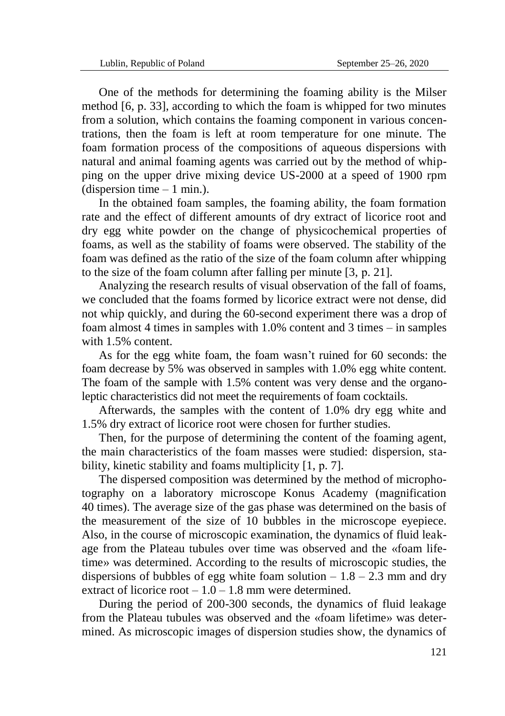One of the methods for determining the foaming ability is the Milser method [6, р. 33], according to which the foam is whipped for two minutes from a solution, which contains the foaming component in various concentrations, then the foam is left at room temperature for one minute. The foam formation process of the compositions of aqueous dispersions with natural and animal foaming agents was carried out by the method of whipping on the upper drive mixing device US-2000 at a speed of 1900 rpm (dispersion time  $-1$  min.).

In the obtained foam samples, the foaming ability, the foam formation rate and the effect of different amounts of dry extract of licorice root and dry egg white powder on the change of physicochemical properties of foams, as well as the stability of foams were observed. The stability of the foam was defined as the ratio of the size of the foam column after whipping to the size of the foam column after falling per minute [3, р. 21].

Analyzing the research results of visual observation of the fall of foams, we concluded that the foams formed by licorice extract were not dense, did not whip quickly, and during the 60-second experiment there was a drop of foam almost 4 times in samples with 1.0% content and 3 times – in samples with 1.5% content.

As for the egg white foam, the foam wasn't ruined for 60 seconds: the foam decrease by 5% was observed in samples with 1.0% egg white content. The foam of the sample with 1.5% content was very dense and the organoleptic characteristics did not meet the requirements of foam cocktails.

Afterwards, the samples with the content of 1.0% dry egg white and 1.5% dry extract of licorice root were chosen for further studies.

Then, for the purpose of determining the content of the foaming agent, the main characteristics of the foam masses were studied: dispersion, stability, kinetic stability and foams multiplicity [1, р. 7].

The dispersed composition was determined by the method of microphotography on a laboratory microscope Konus Academy (magnification 40 times). The average size of the gas phase was determined on the basis of the measurement of the size of 10 bubbles in the microscope eyepiece. Also, in the course of microscopic examination, the dynamics of fluid leakage from the Plateau tubules over time was observed and the «foam lifetime» was determined. According to the results of microscopic studies, the dispersions of bubbles of egg white foam solution  $-1.8 - 2.3$  mm and dry extract of licorice root  $-1.0 - 1.8$  mm were determined.

During the period of 200-300 seconds, the dynamics of fluid leakage from the Plateau tubules was observed and the «foam lifetime» was determined. As microscopic images of dispersion studies show, the dynamics of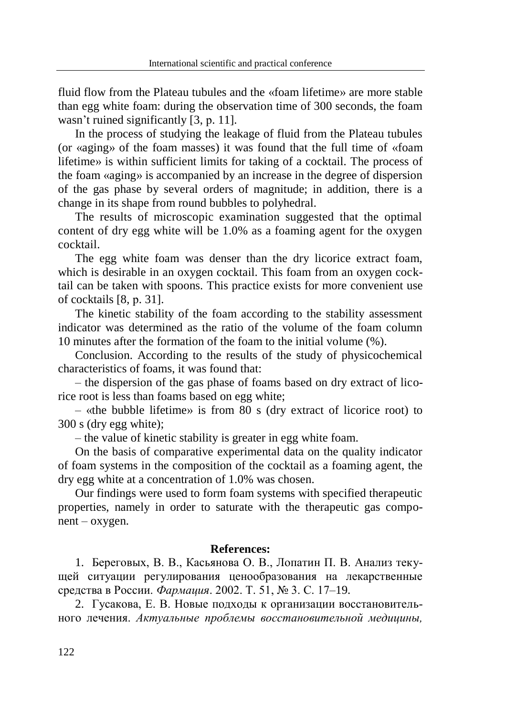fluid flow from the Plateau tubules and the «foam lifetime» are more stable than egg white foam: during the observation time of 300 seconds, the foam wasn't ruined significantly [3, p. 11].

In the process of studying the leakage of fluid from the Plateau tubules (or «aging» of the foam masses) it was found that the full time of «foam lifetime» is within sufficient limits for taking of a cocktail. The process of the foam «aging» is accompanied by an increase in the degree of dispersion of the gas phase by several orders of magnitude; in addition, there is a change in its shape from round bubbles to polyhedral.

The results of microscopic examination suggested that the optimal content of dry egg white will be 1.0% as a foaming agent for the oxygen cocktail.

The egg white foam was denser than the dry licorice extract foam, which is desirable in an oxygen cocktail. This foam from an oxygen cocktail can be taken with spoons. This practice exists for more convenient use of cocktails [8, р. 31].

The kinetic stability of the foam according to the stability assessment indicator was determined as the ratio of the volume of the foam column 10 minutes after the formation of the foam to the initial volume (%).

Conclusion. According to the results of the study of physicochemical characteristics of foams, it was found that:

– the dispersion of the gas phase of foams based on dry extract of licorice root is less than foams based on egg white;

– «the bubble lifetime» is from 80 s (dry extract of licorice root) to 300 s (dry egg white);

– the value of kinetic stability is greater in egg white foam.

On the basis of comparative experimental data on the quality indicator of foam systems in the composition of the cocktail as a foaming agent, the dry egg white at a concentration of 1.0% was chosen.

Our findings were used to form foam systems with specified therapeutic properties, namely in order to saturate with the therapeutic gas component – oxygen.

#### **References:**

1. Береговых, В. В., Касьянова О. В., Лопатин П. В. Анализ текущей ситуации регулирования ценообразования на лекарственные средства в России. *Фармация*. 2002. Т. 51, № 3. С. 17–19.

2. Гусакова, Е. В. Новые подходы к организации восстановительного лечения. *Актуальные проблемы восстановительной медицины,*